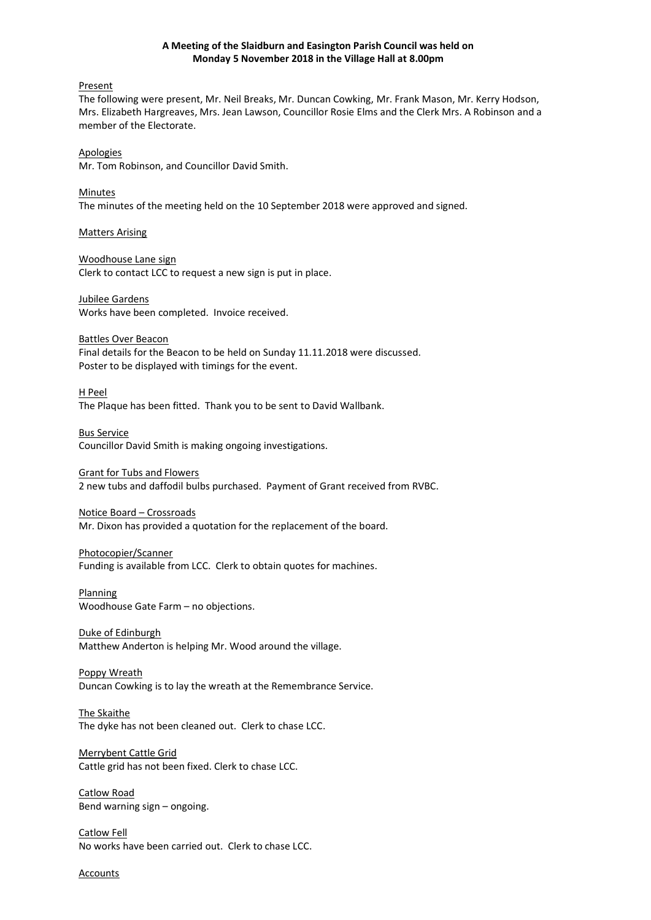### **A Meeting of the Slaidburn and Easington Parish Council was held on Monday 5 November 2018 in the Village Hall at 8.00pm**

#### Present

The following were present, Mr. Neil Breaks, Mr. Duncan Cowking, Mr. Frank Mason, Mr. Kerry Hodson, Mrs. Elizabeth Hargreaves, Mrs. Jean Lawson, Councillor Rosie Elms and the Clerk Mrs. A Robinson and a member of the Electorate.

# Apologies

Mr. Tom Robinson, and Councillor David Smith.

Minutes The minutes of the meeting held on the 10 September 2018 were approved and signed.

#### Matters Arising

Woodhouse Lane sign Clerk to contact LCC to request a new sign is put in place.

### Jubilee Gardens

Works have been completed. Invoice received.

#### Battles Over Beacon

Final details for the Beacon to be held on Sunday 11.11.2018 were discussed. Poster to be displayed with timings for the event.

H Peel The Plaque has been fitted. Thank you to be sent to David Wallbank.

Bus Service Councillor David Smith is making ongoing investigations.

Grant for Tubs and Flowers 2 new tubs and daffodil bulbs purchased. Payment of Grant received from RVBC.

# Notice Board – Crossroads

Mr. Dixon has provided a quotation for the replacement of the board.

### Photocopier/Scanner

Funding is available from LCC. Clerk to obtain quotes for machines.

# Planning

Woodhouse Gate Farm – no objections.

Duke of Edinburgh

Matthew Anderton is helping Mr. Wood around the village.

Poppy Wreath Duncan Cowking is to lay the wreath at the Remembrance Service.

#### The Skaithe The dyke has not been cleaned out. Clerk to chase LCC.

Merrybent Cattle Grid Cattle grid has not been fixed. Clerk to chase LCC.

Catlow Road Bend warning sign – ongoing.

Catlow Fell No works have been carried out. Clerk to chase LCC.

Accounts